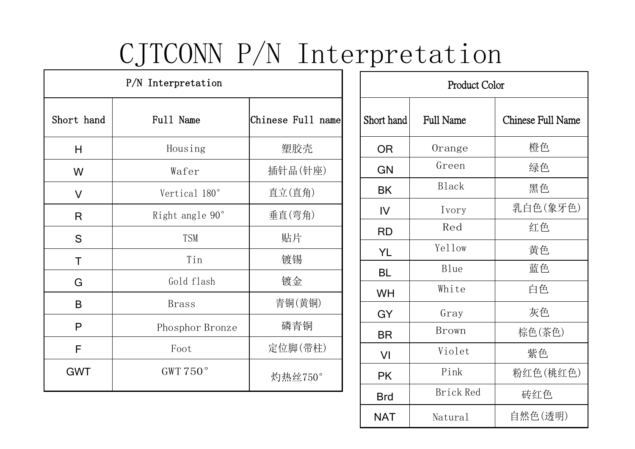## CJTCONN P/N Interpretation

| P/N Interpretation |                 |                   |            | Product Color    |                |  |
|--------------------|-----------------|-------------------|------------|------------------|----------------|--|
| Short hand         | Full Name       | Chinese Full name | Short hand | <b>Full Name</b> | Chinese Full N |  |
| H                  | Housing         | 塑胶壳               | <b>OR</b>  | Orange           | 橙色             |  |
| W                  | Wafer           | 插针品(针座)           | GN         | Green            | 绿色             |  |
| $\vee$             | Vertical 180°   | 直立(直角)            | BK         | Black            | 黑色             |  |
| $\mathsf{R}$       | Right angle 90° | 垂直(弯角)            | IV         | Ivory            | 乳白色(象          |  |
| S                  | <b>TSM</b>      | 贴片                | <b>RD</b>  | Red              | 红色             |  |
|                    | Tin             | 镀锡                | <b>YL</b>  | Yellow           | 黄色             |  |
| $\mathsf T$        |                 |                   | <b>BL</b>  | Blue             | 蓝色             |  |
| G                  | Gold flash      | 镀金                | <b>WH</b>  | White            | 白色             |  |
| $\mathsf B$        | <b>Brass</b>    | 青铜(黄铜)            | <b>GY</b>  | Gray             | 灰色             |  |
| $\mathsf{P}$       | Phosphor Bronze | 磷青铜               | <b>BR</b>  | Brown            | 棕色(茶色          |  |
| F                  | Foot            | 定位脚(带柱)           | VI         | Violet           | 紫色             |  |
| <b>GWT</b>         | GWT $750^\circ$ | 灼热丝750°           | <b>PK</b>  | Pink             | 粉红色(桃          |  |
|                    |                 |                   | <b>Rrd</b> | <b>Brick Red</b> | 砖红色            |  |

| Product Color |                  |                          |  |
|---------------|------------------|--------------------------|--|
| Short hand    | <b>Full Name</b> | <b>Chinese Full Name</b> |  |
| <b>OR</b>     | Orange           | 橙色                       |  |
| <b>GN</b>     | Green            | 绿色                       |  |
| BK            | <b>Black</b>     | 黑色                       |  |
| IV            | Ivory            | 乳白色(象牙色)                 |  |
| <b>RD</b>     | Red              | 红色                       |  |
| YL            | Yellow           | 黄色                       |  |
| <b>BL</b>     | <b>Blue</b>      | 蓝色                       |  |
| WH            | White            | 白色                       |  |
| GY            | Gray             | 灰色                       |  |
| <b>BR</b>     | <b>Brown</b>     | 棕色(茶色)                   |  |
| VI            | Violet           | 紫色                       |  |
| <b>PK</b>     | Pink             | 粉红色(桃红色)                 |  |
| <b>Brd</b>    | Brick Red        | 砖红色                      |  |
| <b>NAT</b>    | Natural          | 自然色(透明)                  |  |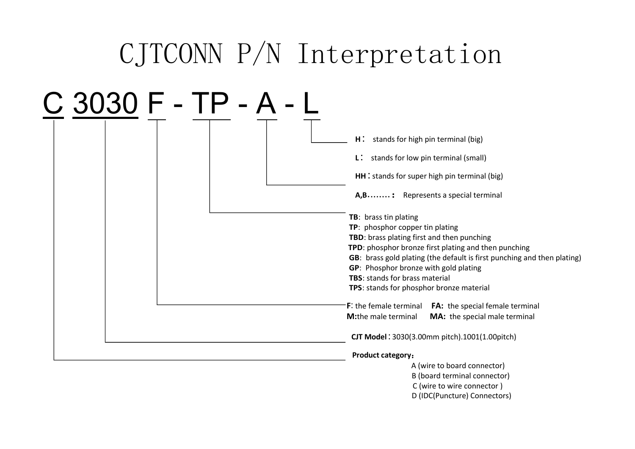## CJTCONN P/N Interpretation

| C 3030 F - TP - A - |                                                                         |  |  |
|---------------------|-------------------------------------------------------------------------|--|--|
|                     | $H^{\ast}$<br>stands for high pin terminal (big)                        |  |  |
|                     | $\mathsf{L}$ : stands for low pin terminal (small)                      |  |  |
|                     | HH : stands for super high pin terminal (big)                           |  |  |
|                     | A,B: Represents a special terminal                                      |  |  |
|                     | TB: brass tin plating                                                   |  |  |
|                     | TP: phosphor copper tin plating                                         |  |  |
|                     | TBD: brass plating first and then punching                              |  |  |
|                     | TPD: phosphor bronze first plating and then punching                    |  |  |
|                     | GB: brass gold plating (the default is first punching and then plating) |  |  |
|                     | GP: Phosphor bronze with gold plating                                   |  |  |
|                     | <b>TBS: stands for brass material</b>                                   |  |  |
|                     | TPS: stands for phosphor bronze material                                |  |  |
|                     | F: the female terminal FA: the special female terminal                  |  |  |
|                     | M:the male terminal<br>MA: the special male terminal                    |  |  |
|                     | CJT Model: 3030(3.00mm pitch).1001(1.00pitch)                           |  |  |
|                     | <b>Product category:</b>                                                |  |  |
|                     | A (wire to board connector)                                             |  |  |
|                     | B (board terminal connector)                                            |  |  |
|                     | C (wire to wire connector)                                              |  |  |
|                     | D (IDC(Puncture) Connectors)                                            |  |  |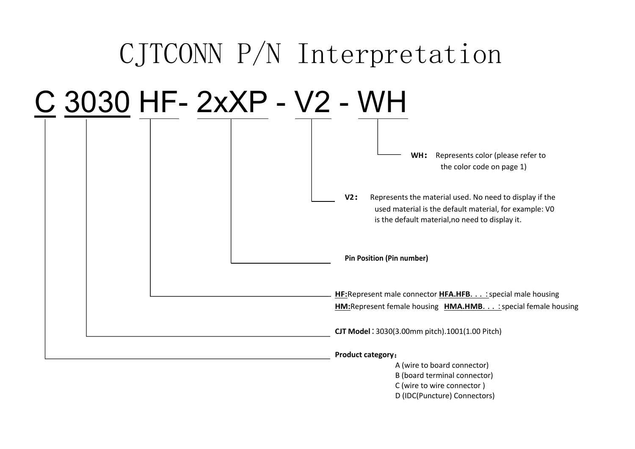

D (IDC(Puncture) Connectors)